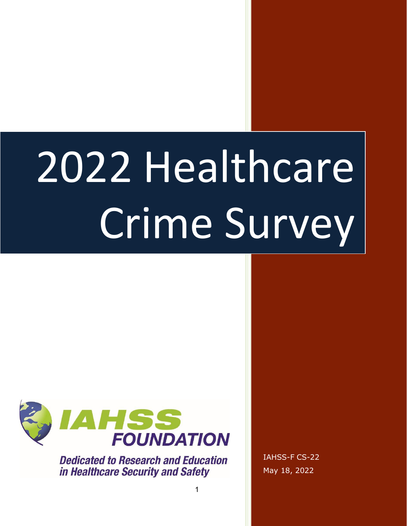# 2022 Healthcare Crime Survey



**Dedicated to Research and Education** in Healthcare Security and Safety

IAHSS-F CS-22 May 18, 2022

1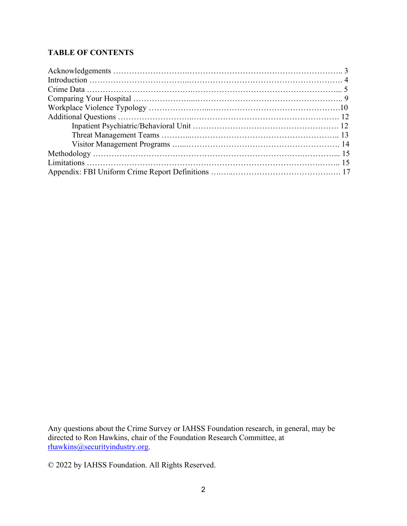# **TABLE OF CONTENTS**

Any questions about the Crime Survey or IAHSS Foundation research, in general, may be directed to Ron Hawkins, chair of the Foundation Research Committee, at [rhawkins@securityindustry.org.](mailto:rhawkins@securityindustry.org)

© 2022 by IAHSS Foundation. All Rights Reserved.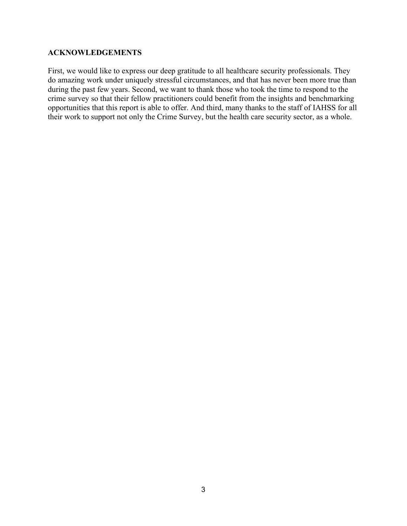### **ACKNOWLEDGEMENTS**

First, we would like to express our deep gratitude to all healthcare security professionals. They do amazing work under uniquely stressful circumstances, and that has never been more true than during the past few years. Second, we want to thank those who took the time to respond to the crime survey so that their fellow practitioners could benefit from the insights and benchmarking opportunities that this report is able to offer. And third, many thanks to the staff of IAHSS for all their work to support not only the Crime Survey, but the health care security sector, as a whole.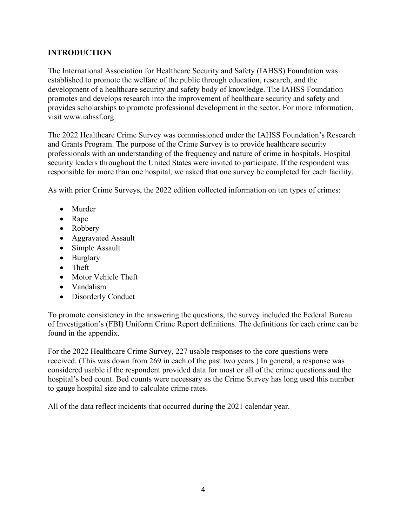# **INTRODUCTION**

The International Association for Healthcare Security and Safety (IAHSS) Foundation was established to promote the welfare of the public through education, research, and the development of a healthcare security and safety body of knowledge. The IAHSS Foundation promotes and develops research into the improvement of healthcare security and safety and provides scholarships to promote professional development in the sector. For more information, visit www.iahssf.org.

The 2022 Healthcare Crime Survey was commissioned under the IAHSS Foundation's Research and Grants Program. The purpose of the Crime Survey is to provide healthcare security professionals with an understanding of the frequency and nature of crime in hospitals. Hospital security leaders throughout the United States were invited to participate. If the respondent was responsible for more than one hospital, we asked that one survey be completed for each facility.

As with prior Crime Surveys, the 2022 edition collected information on ten types of crimes:

- Murder
- Rape
- Robbery
- Aggravated Assault
- Simple Assault
- Burglary
- Theft
- Motor Vehicle Theft
- Vandalism
- Disorderly Conduct

To promote consistency in the answering the questions, the survey included the Federal Bureau of Investigation's (FBI) Uniform Crime Report definitions. The definitions for each crime can be found in the appendix.

For the 2022 Healthcare Crime Survey, 227 usable responses to the core questions were received. (This was down from 269 in each of the past two years.) In general, a response was considered usable if the respondent provided data for most or all of the crime questions and the hospital's bed count. Bed counts were necessary as the Crime Survey has long used this number to gauge hospital size and to calculate crime rates.

All of the data reflect incidents that occurred during the 2021 calendar year.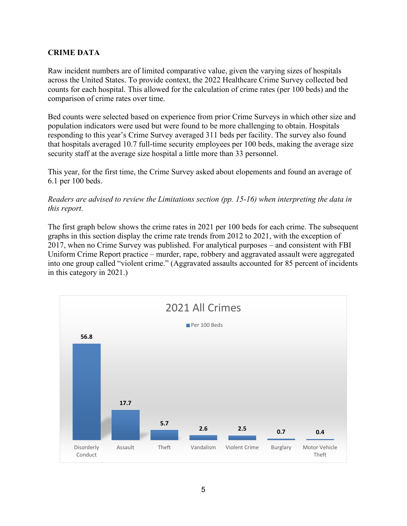### **CRIME DATA**

Raw incident numbers are of limited comparative value, given the varying sizes of hospitals across the United States. To provide context, the 2022 Healthcare Crime Survey collected bed counts for each hospital. This allowed for the calculation of crime rates (per 100 beds) and the comparison of crime rates over time.

Bed counts were selected based on experience from prior Crime Surveys in which other size and population indicators were used but were found to be more challenging to obtain. Hospitals responding to this year's Crime Survey averaged 311 beds per facility. The survey also found that hospitals averaged 10.7 full-time security employees per 100 beds, making the average size security staff at the average size hospital a little more than 33 personnel.

This year, for the first time, the Crime Survey asked about elopements and found an average of 6.1 per 100 beds.

*Readers are advised to review the Limitations section (pp. 15-16) when interpreting the data in this report.*

The first graph below shows the crime rates in 2021 per 100 beds for each crime. The subsequent graphs in this section display the crime rate trends from 2012 to 2021, with the exception of 2017, when no Crime Survey was published. For analytical purposes – and consistent with FBI Uniform Crime Report practice – murder, rape, robbery and aggravated assault were aggregated into one group called "violent crime." (Aggravated assaults accounted for 85 percent of incidents in this category in 2021.)

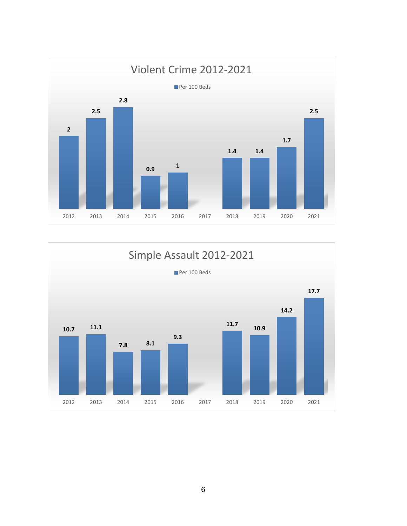

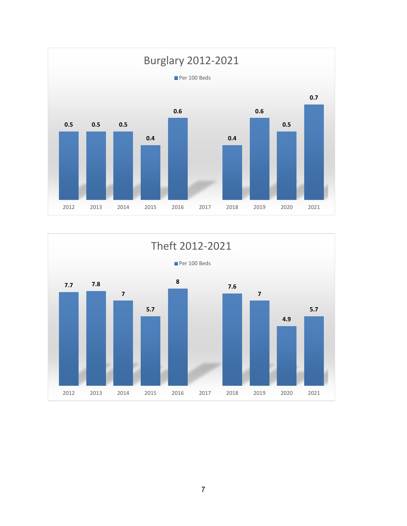

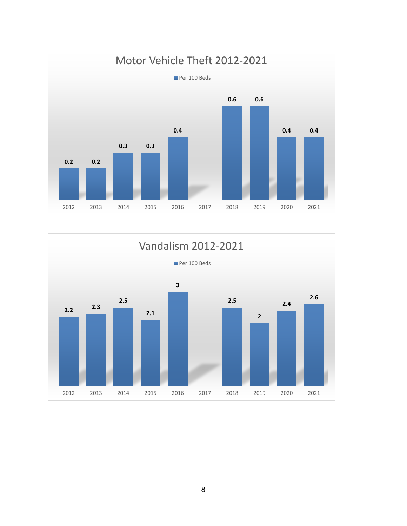

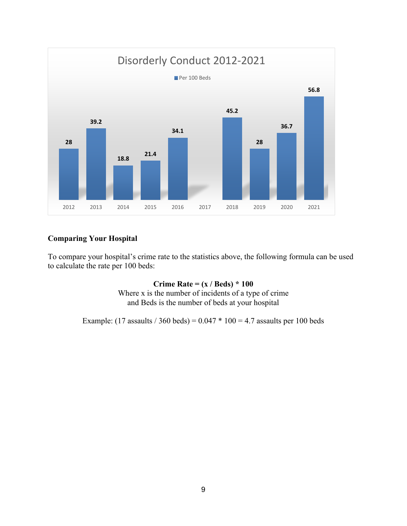

# **Comparing Your Hospital**

To compare your hospital's crime rate to the statistics above, the following formula can be used to calculate the rate per 100 beds:

> **Crime Rate = (x / Beds) \* 100** Where x is the number of incidents of a type of crime and Beds is the number of beds at your hospital

Example: (17 assaults / 360 beds) =  $0.047 * 100 = 4.7$  assaults per 100 beds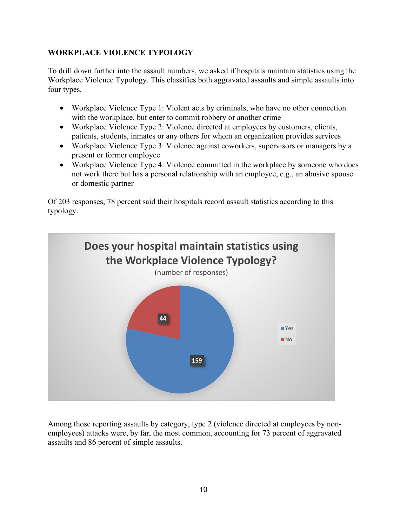# **WORKPLACE VIOLENCE TYPOLOGY**

To drill down further into the assault numbers, we asked if hospitals maintain statistics using the Workplace Violence Typology. This classifies both aggravated assaults and simple assaults into four types.

- Workplace Violence Type 1: Violent acts by criminals, who have no other connection with the workplace, but enter to commit robbery or another crime
- Workplace Violence Type 2: Violence directed at employees by customers, clients, patients, students, inmates or any others for whom an organization provides services
- Workplace Violence Type 3: Violence against coworkers, supervisors or managers by a present or former employee
- Workplace Violence Type 4: Violence committed in the workplace by someone who does not work there but has a personal relationship with an employee, e.g., an abusive spouse or domestic partner

Of 203 responses, 78 percent said their hospitals record assault statistics according to this typology.



Among those reporting assaults by category, type 2 (violence directed at employees by nonemployees) attacks were, by far, the most common, accounting for 73 percent of aggravated assaults and 86 percent of simple assaults.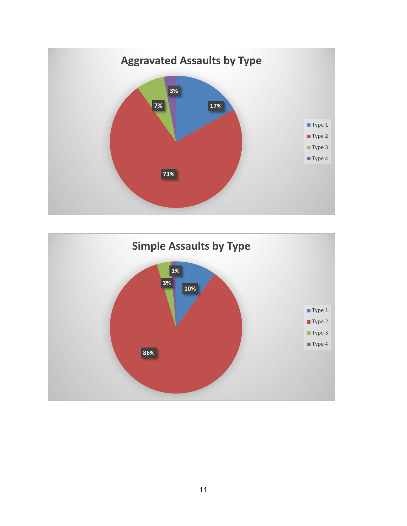

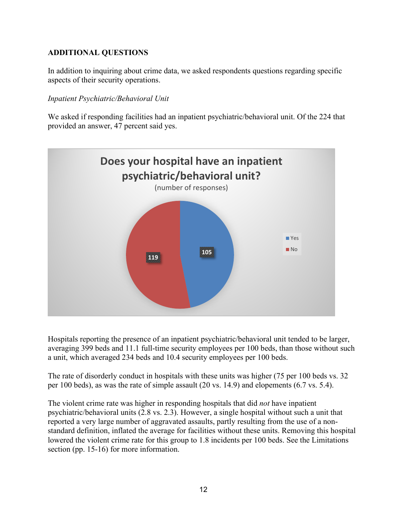# **ADDITIONAL QUESTIONS**

In addition to inquiring about crime data, we asked respondents questions regarding specific aspects of their security operations.

### *Inpatient Psychiatric/Behavioral Unit*

We asked if responding facilities had an inpatient psychiatric/behavioral unit. Of the 224 that provided an answer, 47 percent said yes.



Hospitals reporting the presence of an inpatient psychiatric/behavioral unit tended to be larger, averaging 399 beds and 11.1 full-time security employees per 100 beds, than those without such a unit, which averaged 234 beds and 10.4 security employees per 100 beds.

The rate of disorderly conduct in hospitals with these units was higher (75 per 100 beds vs. 32 per 100 beds), as was the rate of simple assault (20 vs. 14.9) and elopements (6.7 vs. 5.4).

The violent crime rate was higher in responding hospitals that did *not* have inpatient psychiatric/behavioral units (2.8 vs. 2.3). However, a single hospital without such a unit that reported a very large number of aggravated assaults, partly resulting from the use of a nonstandard definition, inflated the average for facilities without these units. Removing this hospital lowered the violent crime rate for this group to 1.8 incidents per 100 beds. See the Limitations section (pp. 15-16) for more information.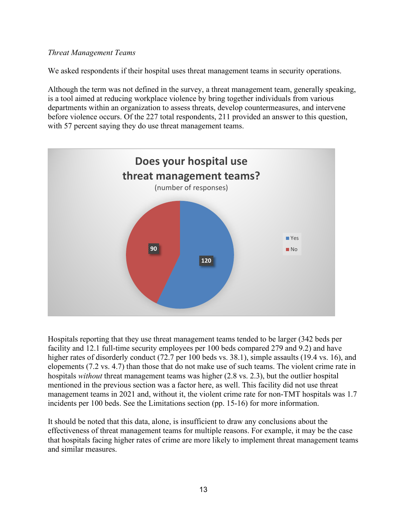### *Threat Management Teams*

We asked respondents if their hospital uses threat management teams in security operations.

Although the term was not defined in the survey, a threat management team, generally speaking, is a tool aimed at reducing workplace violence by bring together individuals from various departments within an organization to assess threats, develop countermeasures, and intervene before violence occurs. Of the 227 total respondents, 211 provided an answer to this question, with 57 percent saying they do use threat management teams.



Hospitals reporting that they use threat management teams tended to be larger (342 beds per facility and 12.1 full-time security employees per 100 beds compared 279 and 9.2) and have higher rates of disorderly conduct (72.7 per 100 beds vs. 38.1), simple assaults (19.4 vs. 16), and elopements (7.2 vs. 4.7) than those that do not make use of such teams. The violent crime rate in hospitals *without* threat management teams was higher (2.8 vs. 2.3), but the outlier hospital mentioned in the previous section was a factor here, as well. This facility did not use threat management teams in 2021 and, without it, the violent crime rate for non-TMT hospitals was 1.7 incidents per 100 beds. See the Limitations section (pp. 15-16) for more information.

It should be noted that this data, alone, is insufficient to draw any conclusions about the effectiveness of threat management teams for multiple reasons. For example, it may be the case that hospitals facing higher rates of crime are more likely to implement threat management teams and similar measures.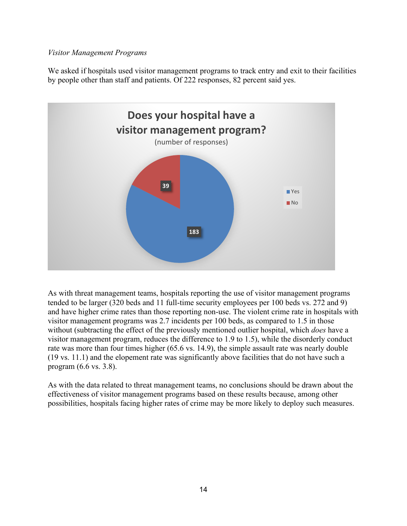### *Visitor Management Programs*

We asked if hospitals used visitor management programs to track entry and exit to their facilities by people other than staff and patients. Of 222 responses, 82 percent said yes.



As with threat management teams, hospitals reporting the use of visitor management programs tended to be larger (320 beds and 11 full-time security employees per 100 beds vs. 272 and 9) and have higher crime rates than those reporting non-use. The violent crime rate in hospitals with visitor management programs was 2.7 incidents per 100 beds, as compared to 1.5 in those without (subtracting the effect of the previously mentioned outlier hospital, which *does* have a visitor management program, reduces the difference to 1.9 to 1.5), while the disorderly conduct rate was more than four times higher (65.6 vs. 14.9), the simple assault rate was nearly double (19 vs. 11.1) and the elopement rate was significantly above facilities that do not have such a program (6.6 vs. 3.8).

As with the data related to threat management teams, no conclusions should be drawn about the effectiveness of visitor management programs based on these results because, among other possibilities, hospitals facing higher rates of crime may be more likely to deploy such measures.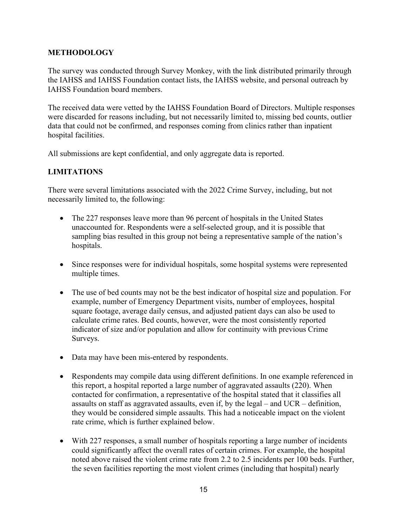### **METHODOLOGY**

The survey was conducted through Survey Monkey, with the link distributed primarily through the IAHSS and IAHSS Foundation contact lists, the IAHSS website, and personal outreach by IAHSS Foundation board members.

The received data were vetted by the IAHSS Foundation Board of Directors. Multiple responses were discarded for reasons including, but not necessarily limited to, missing bed counts, outlier data that could not be confirmed, and responses coming from clinics rather than inpatient hospital facilities.

All submissions are kept confidential, and only aggregate data is reported.

# **LIMITATIONS**

There were several limitations associated with the 2022 Crime Survey, including, but not necessarily limited to, the following:

- The 227 responses leave more than 96 percent of hospitals in the United States unaccounted for. Respondents were a self-selected group, and it is possible that sampling bias resulted in this group not being a representative sample of the nation's hospitals.
- Since responses were for individual hospitals, some hospital systems were represented multiple times.
- The use of bed counts may not be the best indicator of hospital size and population. For example, number of Emergency Department visits, number of employees, hospital square footage, average daily census, and adjusted patient days can also be used to calculate crime rates. Bed counts, however, were the most consistently reported indicator of size and/or population and allow for continuity with previous Crime Surveys.
- Data may have been mis-entered by respondents.
- Respondents may compile data using different definitions. In one example referenced in this report, a hospital reported a large number of aggravated assaults (220). When contacted for confirmation, a representative of the hospital stated that it classifies all assaults on staff as aggravated assaults, even if, by the legal – and UCR – definition, they would be considered simple assaults. This had a noticeable impact on the violent rate crime, which is further explained below.
- With 227 responses, a small number of hospitals reporting a large number of incidents could significantly affect the overall rates of certain crimes. For example, the hospital noted above raised the violent crime rate from 2.2 to 2.5 incidents per 100 beds. Further, the seven facilities reporting the most violent crimes (including that hospital) nearly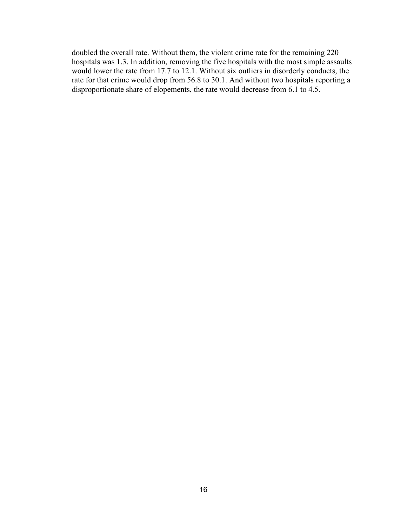doubled the overall rate. Without them, the violent crime rate for the remaining 220 hospitals was 1.3. In addition, removing the five hospitals with the most simple assaults would lower the rate from 17.7 to 12.1. Without six outliers in disorderly conducts, the rate for that crime would drop from 56.8 to 30.1. And without two hospitals reporting a disproportionate share of elopements, the rate would decrease from 6.1 to 4.5.